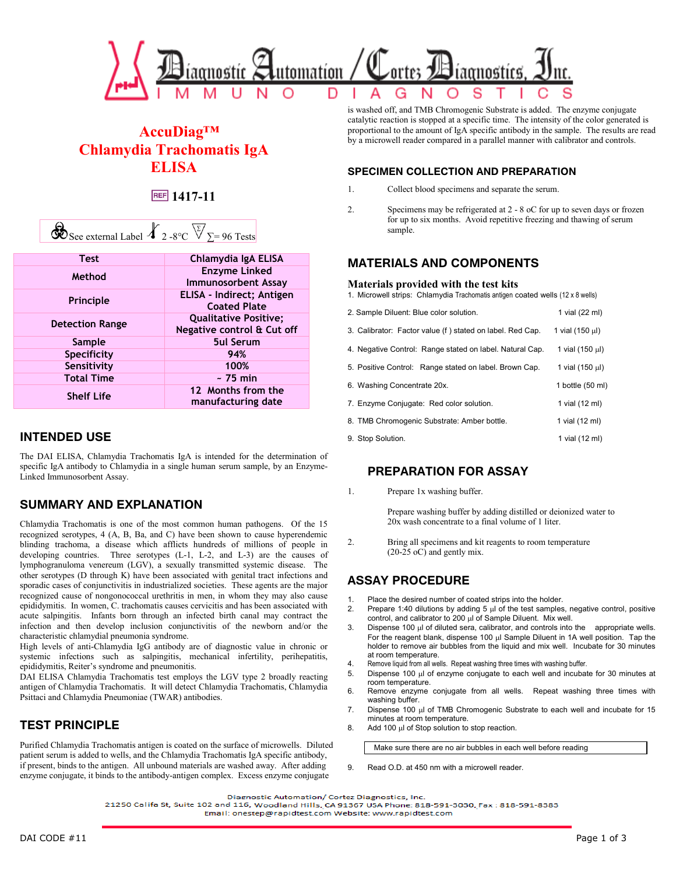

# **AccuDiag™ Chlamydia Trachomatis IgA ELISA**

# **1417-11**

|--|

| <b>Test</b>            | Chlamydia IgA ELISA                      |  |
|------------------------|------------------------------------------|--|
| Method                 | <b>Enzyme Linked</b>                     |  |
|                        | <b>Immunosorbent Assay</b>               |  |
| <b>Principle</b>       | ELISA - Indirect; Antigen                |  |
|                        | <b>Coated Plate</b>                      |  |
| <b>Detection Range</b> | <b>Qualitative Positive:</b>             |  |
|                        | Negative control & Cut off               |  |
| Sample                 | <b>5ul Serum</b>                         |  |
| Specificity            | 94%                                      |  |
| Sensitivity            | 100%                                     |  |
| <b>Total Time</b>      | $~5$ 75 min                              |  |
| <b>Shelf Life</b>      | 12 Months from the<br>manufacturing date |  |

## **INTENDED USE**

The DAI ELISA, Chlamydia Trachomatis IgA is intended for the determination of specific IgA antibody to Chlamydia in a single human serum sample, by an Enzyme-Linked Immunosorbent Assay.

# **SUMMARY AND EXPLANATION**

Chlamydia Trachomatis is one of the most common human pathogens. Of the 15 recognized serotypes, 4 (A, B, Ba, and C) have been shown to cause hyperendemic blinding trachoma, a disease which afflicts hundreds of millions of people in developing countries. Three serotypes (L-1, L-2, and L-3) are the causes of lymphogranuloma venereum (LGV), a sexually transmitted systemic disease. The other serotypes (D through K) have been associated with genital tract infections and sporadic cases of conjunctivitis in industrialized societies. These agents are the major recognized cause of nongonococcal urethritis in men, in whom they may also cause epididymitis. In women, C. trachomatis causes cervicitis and has been associated with acute salpingitis. Infants born through an infected birth canal may contract the infection and then develop inclusion conjunctivitis of the newborn and/or the characteristic chlamydial pneumonia syndrome.

High levels of anti-Chlamydia IgG antibody are of diagnostic value in chronic or systemic infections such as salpingitis, mechanical infertility, perihepatitis, epididymitis, Reiter's syndrome and pneumonitis.

DAI ELISA Chlamydia Trachomatis test employs the LGV type 2 broadly reacting antigen of Chlamydia Trachomatis. It will detect Chlamydia Trachomatis, Chlamydia Psittaci and Chlamydia Pneumoniae (TWAR) antibodies.

# **TEST PRINCIPLE**

Purified Chlamydia Trachomatis antigen is coated on the surface of microwells. Diluted patient serum is added to wells, and the Chlamydia Trachomatis IgA specific antibody, if present, binds to the antigen. All unbound materials are washed away. After adding enzyme conjugate, it binds to the antibody-antigen complex. Excess enzyme conjugate

is washed off, and TMB Chromogenic Substrate is added. The enzyme conjugate catalytic reaction is stopped at a specific time. The intensity of the color generated is proportional to the amount of IgA specific antibody in the sample. The results are read by a microwell reader compared in a parallel manner with calibrator and controls.

#### **SPECIMEN COLLECTION AND PREPARATION**

- 1. Collect blood specimens and separate the serum.
- 2. Specimens may be refrigerated at 2 8 oC for up to seven days or frozen for up to six months. Avoid repetitive freezing and thawing of serum sample.

## **MATERIALS AND COMPONENTS**

#### **Materials provided with the test kits**

1. Microwell strips: Chlamydia Trachomatis antigen coated wells (12 x 8 wells)

| 2. Sample Diluent: Blue color solution.                   | 1 vial (22 ml)   |
|-----------------------------------------------------------|------------------|
| 3. Calibrator: Factor value (f) stated on label. Red Cap. | 1 vial (150 µl)  |
| 4. Negative Control: Range stated on label. Natural Cap.  | 1 vial (150 µl)  |
| 5. Positive Control: Range stated on label. Brown Cap.    | 1 vial (150 µl)  |
| 6. Washing Concentrate 20x.                               | 1 bottle (50 ml) |
| 7. Enzyme Conjugate: Red color solution.                  | 1 vial (12 ml)   |
| 8. TMB Chromogenic Substrate: Amber bottle.               | 1 vial (12 ml)   |
| 9. Stop Solution.                                         | 1 vial (12 ml)   |
|                                                           |                  |

## **PREPARATION FOR ASSAY**

1. Prepare 1x washing buffer.

Prepare washing buffer by adding distilled or deionized water to 20x wash concentrate to a final volume of 1 liter.

2. Bring all specimens and kit reagents to room temperature  $(20-25)$  oC) and gently mix.

# **ASSAY PROCEDURE**

- 1. Place the desired number of coated strips into the holder.
- 2. Prepare 1:40 dilutions by adding 5  $\mu$ l of the test samples, negative control, positive control, and calibrator to 200 µl of Sample Diluent. Mix well.
- 3. Dispense 100 µl of diluted sera, calibrator, and controls into the appropriate wells. For the reagent blank, dispense 100 µl Sample Diluent in 1A well position. Tap the holder to remove air bubbles from the liquid and mix well. Incubate for 30 minutes at room temperature.
- 4. Remove liquid from all wells. Repeat washing three times with washing buffer.
- 5. Dispense 100 µl of enzyme conjugate to each well and incubate for 30 minutes at room temperature.
- 6. Remove enzyme conjugate from all wells. Repeat washing three times with washing buffer.
- 7. Dispense 100  $\mu$ l of TMB Chromogenic Substrate to each well and incubate for 15 minutes at room temperature.
- 8. Add 100  $\mu$ l of Stop solution to stop reaction.

Make sure there are no air bubbles in each well before reading

9. Read O.D. at 450 nm with a microwell reader.

Diagnostic Automation/ Cortez Diagnostics, Inc.

21250 Califa St, Suite 102 and 116, Woodland Hills, CA 91367 USA Phone: 818-591-3030, Fax: 818-591-8383 Email: onestep@rapidtest.com Website: www.rapidtest.com

DAI CODE #11 Page 1 of 3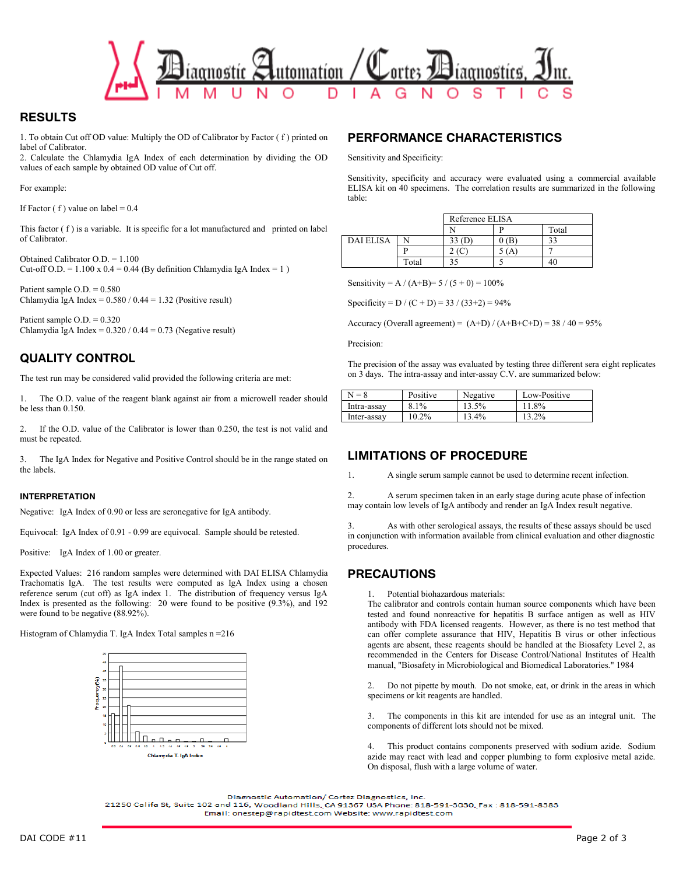

## **RESULTS**

1. To obtain Cut off OD value: Multiply the OD of Calibrator by Factor ( f ) printed on label of Calibrator.

2. Calculate the Chlamydia IgA Index of each determination by dividing the OD values of each sample by obtained OD value of Cut off.

For example:

If Factor  $( f )$  value on label = 0.4

This factor  $(f)$  is a variable. It is specific for a lot manufactured and printed on label of Calibrator.

Obtained Calibrator O.D. = 1.100 Cut-off O.D. =  $1.100 \times 0.4 = 0.44$  (By definition Chlamydia IgA Index = 1)

Patient sample  $O.D. = 0.580$ Chlamydia IgA Index =  $0.580 / 0.44 = 1.32$  (Positive result)

Patient sample O.D. = 0.320 Chlamydia IgA Index =  $0.320 / 0.44 = 0.73$  (Negative result)

# **QUALITY CONTROL**

The test run may be considered valid provided the following criteria are met:

1. The O.D. value of the reagent blank against air from a microwell reader should be less than 0.150.

2. If the O.D. value of the Calibrator is lower than 0.250, the test is not valid and must be repeated.

3. The IgA Index for Negative and Positive Control should be in the range stated on the labels.

#### **INTERPRETATION**

Negative: IgA Index of 0.90 or less are seronegative for IgA antibody.

Equivocal: IgA Index of 0.91 - 0.99 are equivocal. Sample should be retested.

Positive: IgA Index of 1.00 or greater.

Expected Values: 216 random samples were determined with DAI ELISA Chlamydia Trachomatis IgA. The test results were computed as IgA Index using a chosen reference serum (cut off) as IgA index 1. The distribution of frequency versus IgA Index is presented as the following: 20 were found to be positive (9.3%), and 192 were found to be negative (88.92%).

Histogram of Chlamydia T. IgA Index Total samples n =216



# **PERFORMANCE CHARACTERISTICS**

Sensitivity and Specificity:

Sensitivity, specificity and accuracy were evaluated using a commercial available ELISA kit on 40 specimens. The correlation results are summarized in the following table:

|                  |       | Reference ELISA |     |       |
|------------------|-------|-----------------|-----|-------|
|                  |       |                 |     | Total |
| <b>DAI ELISA</b> |       |                 | (B) |       |
|                  |       |                 |     |       |
|                  | ⊺otal |                 |     |       |

Sensitivity = A / (A+B)=  $5 / (5 + 0) = 100\%$ 

Specificity =  $D / (C + D) = 33 / (33 + 2) = 94\%$ 

Accuracy (Overall agreement) =  $(A+D) / (A+B+C+D) = 38 / 40 = 95%$ 

Precision:

The precision of the assay was evaluated by testing three different sera eight replicates on 3 days. The intra-assay and inter-assay C.V. are summarized below:

| $N = 8$     | Positive | Negative | Low-Positive |
|-------------|----------|----------|--------------|
| Intra-assay | 8.1%     | 13.5%    | 11.8%        |
| Inter-assay | $10.2\%$ | 13.4%    | 13.2%        |

## **LIMITATIONS OF PROCEDURE**

1. A single serum sample cannot be used to determine recent infection.

2. A serum specimen taken in an early stage during acute phase of infection may contain low levels of IgA antibody and render an IgA Index result negative.

3. As with other serological assays, the results of these assays should be used in conjunction with information available from clinical evaluation and other diagnostic procedures.

## **PRECAUTIONS**

1. Potential biohazardous materials:

The calibrator and controls contain human source components which have been tested and found nonreactive for hepatitis B surface antigen as well as HIV antibody with FDA licensed reagents. However, as there is no test method that can offer complete assurance that HIV, Hepatitis B virus or other infectious agents are absent, these reagents should be handled at the Biosafety Level 2, as recommended in the Centers for Disease Control/National Institutes of Health manual, "Biosafety in Microbiological and Biomedical Laboratories." 1984

2. Do not pipette by mouth. Do not smoke, eat, or drink in the areas in which specimens or kit reagents are handled.

3. The components in this kit are intended for use as an integral unit. The components of different lots should not be mixed.

4. This product contains components preserved with sodium azide. Sodium azide may react with lead and copper plumbing to form explosive metal azide. On disposal, flush with a large volume of water.

Diagnostic Automation/ Cortez Diagnostics, Inc.

21250 Califa St, Suite 102 and 116, Woodland Hills, CA 91367 USA Phone: 818-591-3030, Fax : 818-591-8383 Email: onestep@rapidtest.com Website: www.rapidtest.com